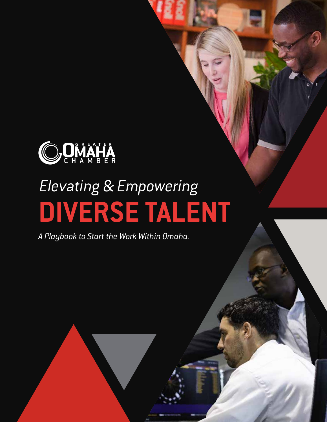

# Elevating & Empowering **DIVERSE TALENT**

*A Playbook to Start the Work Within Omaha.*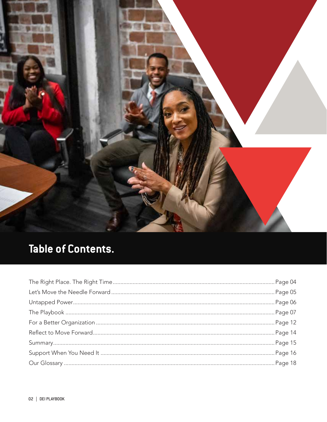

# **Table of Contents.**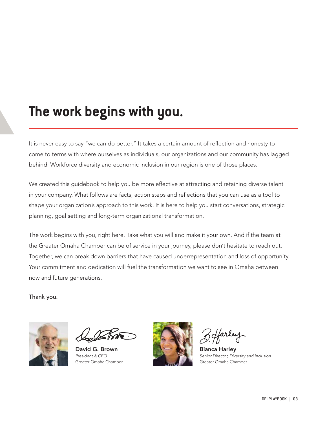# **The work begins with you.**

It is never easy to say "we can do better." It takes a certain amount of reflection and honesty to come to terms with where ourselves as individuals, our organizations and our community has lagged behind. Workforce diversity and economic inclusion in our region is one of those places.

We created this quidebook to help you be more effective at attracting and retaining diverse talent in your company. What follows are facts, action steps and reflections that you can use as a tool to shape your organization's approach to this work. It is here to help you start conversations, strategic planning, goal setting and long-term organizational transformation.

The work begins with you, right here. Take what you will and make it your own. And if the team at the Greater Omaha Chamber can be of service in your journey, please don't hesitate to reach out. Together, we can break down barriers that have caused underrepresentation and loss of opportunity. Your commitment and dedication will fuel the transformation we want to see in Omaha between now and future generations.

Thank you.



David G. Brown *President & CEO* Greater Omaha Chamber



Bianca Harley *Senior Director, Diversity and Inclusion* Greater Omaha Chamber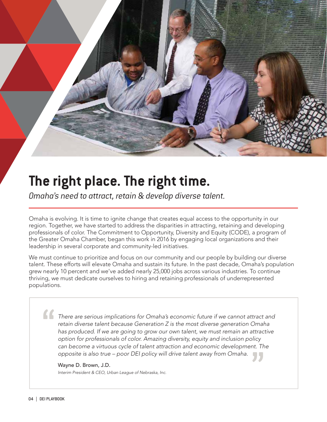# **The right place. The right time.**

*Omaha's need to attract, retain & develop diverse talent.* 

Omaha is evolving. It is time to ignite change that creates equal access to the opportunity in our region. Together, we have started to address the disparities in attracting, retaining and developing professionals of color. The Commitment to Opportunity, Diversity and Equity (CODE), a program of the Greater Omaha Chamber, began this work in 2016 by engaging local organizations and their leadership in several corporate and community-led initiatives.

We must continue to prioritize and focus on our community and our people by building our diverse talent. These efforts will elevate Omaha and sustain its future. In the past decade, Omaha's population grew nearly 10 percent and we've added nearly 25,000 jobs across various industries. To continue thriving, we must dedicate ourselves to hiring and retaining professionals of underrepresented populations.

**There are serious implications for Omaha's economic future if we cannot attract and** *retain diverse talent because Generation Z is the most diverse generation Omaha has produced. If we are going to grow our own talent, we must remain an attractive option for professionals of color. Amazing diversity, equity and inclusion policy can become a virtuous cycle of talent attraction and economic development. The opposite is also true – poor DEI policy will drive talent away from Omaha.*

#### Wayne D. Brown, J.D.

*Interim President & CEO, Urban League of Nebraska, Inc.*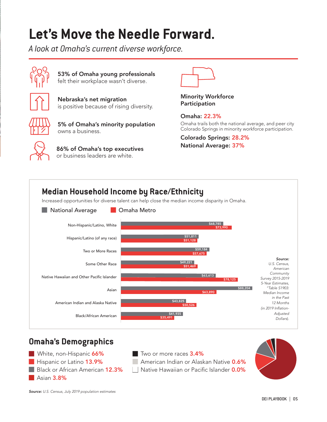# **Let's Move the Needle Forward.**

*A look at Omaha's current diverse workforce.* 



53% of Omaha young professionals felt their workplace wasn't diverse.



Nebraska's net migration is positive because of rising diversity.



5% of Omaha's minority population owns a business.



86% of Omaha's top executives or business leaders are white.



Minority Workforce Participation

Omaha: 22.3% Omaha trails both the national average, and peer city Colorado Springs in minority workforce participation.

Colorado Springs: 28.2% National Average: 37%



# **Omaha's Demographics**

- White, non-Hispanic 66% **Hispanic or Latino 13.9% Black or African American 12.3%** Asian 3.8%
- **T** Two or more races 3.4%
- American Indian or Alaskan Native 0.6%

Native Hawaiian or Pacific Islander 0.0%

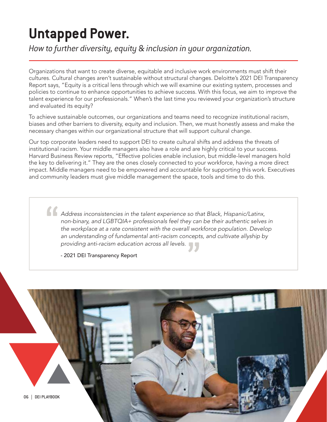# **Untapped Power.**

*How to further diversity, equity & inclusion in your organization.*

Organizations that want to create diverse, equitable and inclusive work environments must shift their cultures. Cultural changes aren't sustainable without structural changes. Deloitte's 2021 DEI Transparency Report says, "Equity is a critical lens through which we will examine our existing system, processes and policies to continue to enhance opportunities to achieve success. With this focus, we aim to improve the talent experience for our professionals." When's the last time you reviewed your organization's structure and evaluated its equity?

To achieve sustainable outcomes, our organizations and teams need to recognize institutional racism, biases and other barriers to diversity, equity and inclusion. Then, we must honestly assess and make the necessary changes within our organizational structure that will support cultural change.

Our top corporate leaders need to support DEI to create cultural shifts and address the threats of institutional racism. Your middle managers also have a role and are highly critical to your success. Harvard Business Review reports, "Effective policies enable inclusion, but middle-level managers hold the key to delivering it." They are the ones closely connected to your workforce, having a more direct impact. Middle managers need to be empowered and accountable for supporting this work. Executives and community leaders must give middle management the space, tools and time to do this.

*Address inconsistencies in the talent experience so that Black, Hispanic/Latinx, non-binary, and LGBTQIA+ professionals feel they can be their authentic selves in the workplace at a rate consistent with the overall workforce population. Develop an understanding of fundamental anti-racism concepts, and cultivate allyship by providing anti-racism education across all levels.*

- 2021 DEI Transparency Report

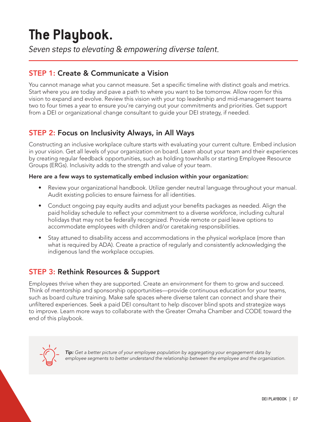# **The Playbook.**

*Seven steps to elevating & empowering diverse talent.*

### STEP 1: Create & Communicate a Vision

You cannot manage what you cannot measure. Set a specific timeline with distinct goals and metrics. Start where you are today and pave a path to where you want to be tomorrow. Allow room for this vision to expand and evolve. Review this vision with your top leadership and mid-management teams two to four times a year to ensure you're carrying out your commitments and priorities. Get support from a DEI or organizational change consultant to guide your DEI strategy, if needed.

# STEP 2: Focus on Inclusivity Always, in All Ways

Constructing an inclusive workplace culture starts with evaluating your current culture. Embed inclusion in your vision. Get all levels of your organization on board. Learn about your team and their experiences by creating regular feedback opportunities, such as holding townhalls or starting Employee Resource Groups (ERGs). Inclusivity adds to the strength and value of your team.

#### Here are a few ways to systematically embed inclusion within your organization:

- Review your organizational handbook. Utilize gender neutral language throughout your manual. Audit existing policies to ensure fairness for all identities.
- Conduct ongoing pay equity audits and adjust your benefits packages as needed. Align the paid holiday schedule to reflect your commitment to a diverse workforce, including cultural holidays that may not be federally recognized. Provide remote or paid leave options to accommodate employees with children and/or caretaking responsibilities.
- Stay attuned to disability access and accommodations in the physical workplace (more than what is required by ADA). Create a practice of regularly and consistently acknowledging the indigenous land the workplace occupies.

# STEP 3: Rethink Resources & Support

Employees thrive when they are supported. Create an environment for them to grow and succeed. Think of mentorship and sponsorship opportunities—provide continuous education for your teams, such as board culture training. Make safe spaces where diverse talent can connect and share their unfiltered experiences. Seek a paid DEI consultant to help discover blind spots and strategize ways to improve. Learn more ways to collaborate with the Greater Omaha Chamber and CODE toward the end of this playbook.



*Tip: Get a better picture of your employee population by aggregating your engagement data by*  employee segments to better understand the relationship between the employee and the organization.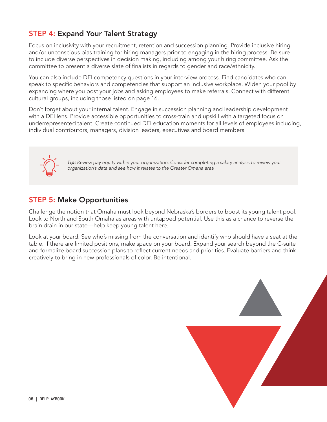# STEP 4: Expand Your Talent Strategy

Focus on inclusivity with your recruitment, retention and succession planning. Provide inclusive hiring and/or unconscious bias training for hiring managers prior to engaging in the hiring process. Be sure to include diverse perspectives in decision making, including among your hiring committee. Ask the committee to present a diverse slate of finalists in regards to gender and race/ethnicity.

You can also include DEI competency questions in your interview process. Find candidates who can speak to specific behaviors and competencies that support an inclusive workplace. Widen your pool by expanding where you post your jobs and asking employees to make referrals. Connect with different cultural groups, including those listed on page 16.

Don't forget about your internal talent. Engage in succession planning and leadership development with a DEI lens. Provide accessible opportunities to cross-train and upskill with a targeted focus on underrepresented talent. Create continued DEI education moments for all levels of employees including, individual contributors, managers, division leaders, executives and board members.



*Tip: Review pay equity within your organization. Consider completing a salary analysis to review your organization's data and see how it relates to the Greater Omaha area*

### STEP 5: Make Opportunities

Challenge the notion that Omaha must look beyond Nebraska's borders to boost its young talent pool. Look to North and South Omaha as areas with untapped potential. Use this as a chance to reverse the brain drain in our state—help keep young talent here.

Look at your board. See who's missing from the conversation and identify who should have a seat at the table. If there are limited positions, make space on your board. Expand your search beyond the C-suite and formalize board succession plans to reflect current needs and priorities. Evaluate barriers and think creatively to bring in new professionals of color. Be intentional.

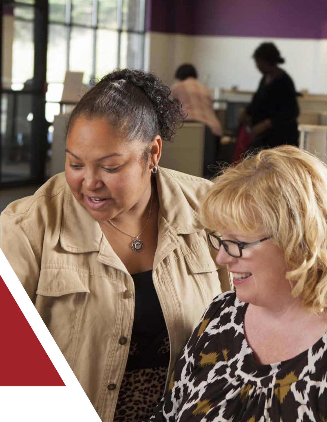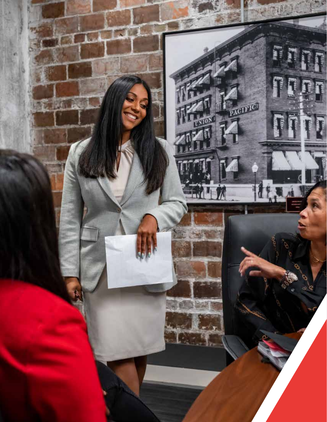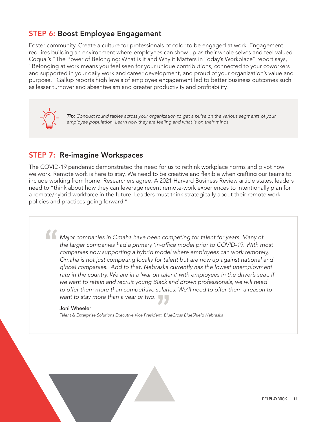### STEP 6: Boost Employee Engagement

Foster community. Create a culture for professionals of color to be engaged at work. Engagement requires building an environment where employees can show up as their whole selves and feel valued. Coqual's "The Power of Belonging: What is it and Why it Matters in Today's Workplace" report says, "Belonging at work means you feel seen for your unique contributions, connected to your coworkers and supported in your daily work and career development, and proud of your organization's value and purpose." Gallup reports high levels of employee engagement led to better business outcomes such as lesser turnover and absenteeism and greater productivity and profitability.



*Tip: Conduct round tables across your organization to get a pulse on the various segments of your employee population. Learn how they are feeling and what is on their minds.*

#### STEP 7: Re-imagine Workspaces

The COVID-19 pandemic demonstrated the need for us to rethink workplace norms and pivot how we work. Remote work is here to stay. We need to be creative and flexible when crafting our teams to include working from home. Researchers agree. A 2021 Harvard Business Review article states, leaders need to "think about how they can leverage recent remote-work experiences to intentionally plan for a remote/hybrid workforce in the future. Leaders must think strategically about their remote work policies and practices going forward."

*Major companies in Omaha have been competing for talent for years. Many of*  the larger companies had a primary 'in-office model prior to COVID-19. With most *companies now supporting a hybrid model where employees can work remotely, Omaha is not just competing locally for talent but are now up against national and global companies. Add to that, Nebraska currently has the lowest unemployment*  rate in the country. We are in a 'war on talent' with employees in the driver's seat. If *we want to retain and recruit young Black and Brown professionals, we will need*  to offer them more than competitive salaries. We'll need to offer them a reason to *want to stay more than a year or two.*

#### Joni Wheeler

Talent & Enterprise Solutions Executive Vice President, BlueCross BlueShield Nebraska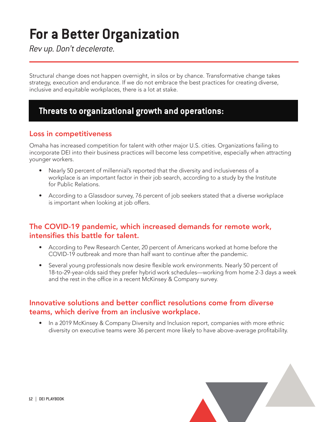# **For a Better Organization**

*Rev up. Don't decelerate.*

Structural change does not happen overnight, in silos or by chance. Transformative change takes strategy, execution and endurance. If we do not embrace the best practices for creating diverse, inclusive and equitable workplaces, there is a lot at stake.

# **Threats to organizational growth and operations:**

#### Loss in competitiveness

Omaha has increased competition for talent with other major U.S. cities. Organizations failing to incorporate DEI into their business practices will become less competitive, especially when attracting younger workers.

- Nearly 50 percent of millennial's reported that the diversity and inclusiveness of a workplace is an important factor in their job search, according to a study by the Institute for Public Relations.
- According to a Glassdoor survey, 76 percent of job seekers stated that a diverse workplace is important when looking at job offers.

### The COVID-19 pandemic, which increased demands for remote work, intensifies this battle for talent.

- According to Pew Research Center, 20 percent of Americans worked at home before the COVID-19 outbreak and more than half want to continue after the pandemic.
- Several young professionals now desire flexible work environments. Nearly 50 percent of 18-to-29-year-olds said they prefer hybrid work schedules—working from home 2-3 days a week and the rest in the office in a recent McKinsey & Company survey.

### Innovative solutions and better conflict resolutions come from diverse teams, which derive from an inclusive workplace.

• In a 2019 McKinsey & Company Diversity and Inclusion report, companies with more ethnic diversity on executive teams were 36 percent more likely to have above-average profitability.

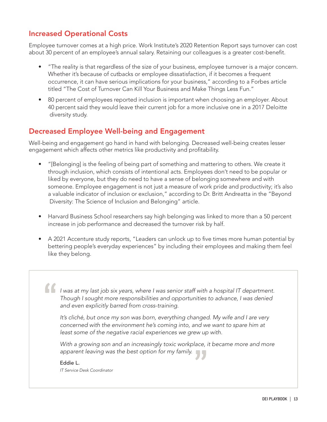### Increased Operational Costs

Employee turnover comes at a high price. Work Institute's 2020 Retention Report says turnover can cost about 30 percent of an employee's annual salary. Retaining our colleagues is a greater cost-benefit.

- "The reality is that regardless of the size of your business, employee turnover is a major concern. Whether it's because of cutbacks or employee dissatisfaction, if it becomes a frequent occurrence, it can have serious implications for your business," according to a Forbes article titled "The Cost of Turnover Can Kill Your Business and Make Things Less Fun."
- 80 percent of employees reported inclusion is important when choosing an employer. About 40 percent said they would leave their current job for a more inclusive one in a 2017 Deloitte diversity study.

# Decreased Employee Well-being and Engagement

Well-being and engagement go hand in hand with belonging. Decreased well-being creates lesser engagement which affects other metrics like productivity and profitability.

- "[Belonging] is the feeling of being part of something and mattering to others. We create it through inclusion, which consists of intentional acts. Employees don't need to be popular or liked by everyone, but they do need to have a sense of belonging somewhere and with someone. Employee engagement is not just a measure of work pride and productivity; it's also a valuable indicator of inclusion or exclusion," according to Dr. Britt Andreatta in the "Beyond Diversity: The Science of Inclusion and Belonging" article.
- Harvard Business School researchers say high belonging was linked to more than a 50 percent increase in job performance and decreased the turnover risk by half.
- A 2021 Accenture study reports, "Leaders can unlock up to five times more human potential by bettering people's everyday experiences" by including their employees and making them feel like they belong.

*I was at my last job six years, where I was senior staff with a hospital IT department. Though I sought more responsibilities and opportunities to advance, I was denied and even explicitly barred from cross-training.* 

*It's cliché, but once my son was born, everything changed. My wife and I are very concerned with the environment he's coming into, and we want to spare him at least some of the negative racial experiences we grew up with.*

With a growing son and an increasingly toxic workplace, it became more and more *apparent leaving was the best option for my family.*

Eddie L. *IT Service Desk Coordinator*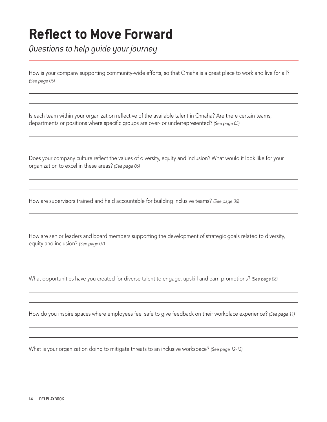# **Reflect to Move Forward**

*Questions to help guide your journey*

How is your company supporting community-wide efforts, so that Omaha is a great place to work and live for all? *(See page 05)* 

Is each team within your organization reflective of the available talent in Omaha? Are there certain teams, departments or positions where specific groups are over- or underrepresented? *(See page 05)*

Does your company culture reflect the values of diversity, equity and inclusion? What would it look like for your organization to excel in these areas? *(See page 06)*

How are supervisors trained and held accountable for building inclusive teams? *(See page 06)* 

How are senior leaders and board members supporting the development of strategic goals related to diversity, equity and inclusion? *(See page 07)*

What opportunities have you created for diverse talent to engage, upskill and earn promotions? *(See page 08)*

How do you inspire spaces where employees feel safe to give feedback on their workplace experience? *(See page 11)*

What is your organization doing to mitigate threats to an inclusive workspace? *(See page 12-13)*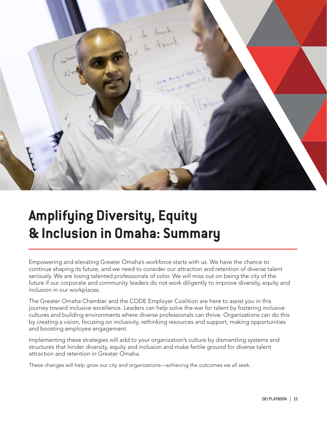

# **Amplifying Diversity, Equity & Inclusion in Omaha: Summary**

Empowering and elevating Greater Omaha's workforce starts with us. We have the chance to continue shaping its future, and we need to consider our attraction and retention of diverse talent seriously. We are losing talented professionals of color. We will miss out on being the city of the future if our corporate and community leaders do not work diligently to improve diversity, equity and inclusion in our workplaces.

The Greater Omaha Chamber and the CODE Employer Coalition are here to assist you in this journey toward inclusive excellence. Leaders can help solve the war for talent by fostering inclusive cultures and building environments where diverse professionals can thrive. Organizations can do this by creating a vision, focusing on inclusivity, rethinking resources and support, making opportunities and boosting employee engagement.

Implementing these strategies will add to your organization's culture by dismantling systems and structures that hinder diversity, equity and inclusion and make fertile ground for diverse talent attraction and retention in Greater Omaha.

These changes will help grow our city and organizations—achieving the outcomes we all seek.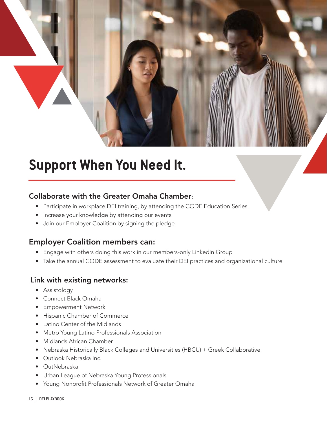

# **Support When You Need It.**

### Collaborate with the Greater Omaha Chamber:

- Participate in workplace DEI training, by attending the CODE Education Series.
- Increase your knowledge by attending our events
- Join our Employer Coalition by signing the pledge

# Employer Coalition members can:

- Engage with others doing this work in our members-only LinkedIn Group
- Take the annual CODE assessment to evaluate their DEI practices and organizational culture

#### Link with existing networks:

- Assistology
- Connect Black Omaha
- Empowerment Network
- Hispanic Chamber of Commerce
- Latino Center of the Midlands
- Metro Young Latino Professionals Association
- Midlands African Chamber
- Nebraska Historically Black Colleges and Universities (HBCU) + Greek Collaborative
- Outlook Nebraska Inc.
- OutNebraska
- Urban League of Nebraska Young Professionals
- Young Nonprofit Professionals Network of Greater Omaha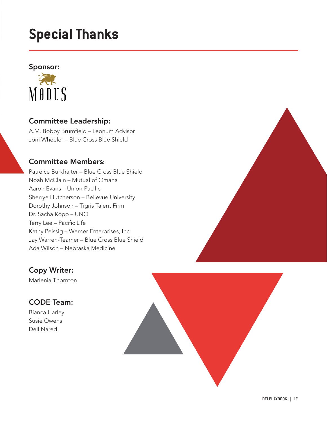# **Special Thanks**

### Sponsor:



### Committee Leadership:

A.M. Bobby Brumfield – Leonum Advisor Joni Wheeler – Blue Cross Blue Shield

#### Committee Members:

Patreice Burkhalter – Blue Cross Blue Shield Noah McClain – Mutual of Omaha Aaron Evans – Union Pacific Sherrye Hutcherson – Bellevue University Dorothy Johnson – Tigris Talent Firm Dr. Sacha Kopp – UNO Terry Lee – Pacific Life Kathy Peissig – Werner Enterprises, Inc. Jay Warren-Teamer – Blue Cross Blue Shield Ada Wilson – Nebraska Medicine

# Copy Writer:

Marlenia Thornton

### CODE Team:

Bianca Harley Susie Owens Dell Nared



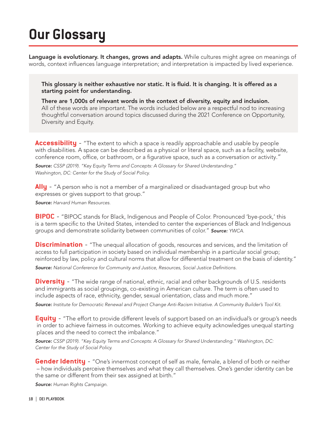# **Our Glossary**

Language is evolutionary. It changes, grows and adapts. While cultures might agree on meanings of words, context influences language interpretation; and interpretation is impacted by lived experience.

This glossary is neither exhaustive nor static. It is fluid. It is changing. It is offered as a starting point for understanding.

There are 1,000s of relevant words in the context of diversity, equity and inclusion. All of these words are important. The words included below are a respectful nod to increasing thoughtful conversation around topics discussed during the 2021 Conference on Opportunity, Diversity and Equity.

**Accessibility** - "The extent to which a space is readily approachable and usable by people with disabilities. A space can be described as a physical or literal space, such as a facility, website, conference room, office, or bathroom, or a figurative space, such as a conversation or activity."

*Source: CSSP (2019). "Key Equity Terms and Concepts: A Glossary for Shared Understanding." Washington, DC: Center for the Study of Social Policy.*

**Ally** - "A person who is not a member of a marginalized or disadvantaged group but who expresses or gives support to that group."

*Source: Harvard Human Resources.*

**BIPOC** - "BIPOC stands for Black, Indigenous and People of Color. Pronounced 'bye-pock,' this is a term specific to the United States, intended to center the experiences of Black and Indigenous groups and demonstrate solidarity between communities of color." *Source: YWCA.*

**Discrimination** - "The unequal allocation of goods, resources and services, and the limitation of access to full participation in society based on individual membership in a particular social group; reinforced by law, policy and cultural norms that allow for differential treatment on the basis of identity."

*Source: National Conference for Community and Justice, Resources, Social Justice Definitions.*

**Diversity** - "The wide range of national, ethnic, racial and other backgrounds of U.S. residents and immigrants as social groupings, co-existing in American culture. The term is often used to include aspects of race, ethnicity, gender, sexual orientation, class and much more."

*Source: Institute for Democratic Renewal and Project Change Anti-Racism Initiative. A Community Builder's Tool Kit.*

**Equity** - "The effort to provide different levels of support based on an individual's or group's needs in order to achieve fairness in outcomes. Working to achieve equity acknowledges unequal starting places and the need to correct the imbalance."

*Source: CSSP (2019). "Key Equity Terms and Concepts: A Glossary for Shared Understanding." Washington, DC: Center for the Study of Social Policy.*

**Gender Identity** - "One's innermost concept of self as male, female, a blend of both or neither – how individuals perceive themselves and what they call themselves. One's gender identity can be the same or different from their sex assigned at birth."

*Source: Human Rights Campaign.*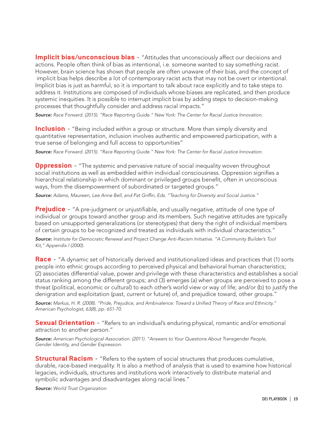**Implicit bias/unconscious bias** - "Attitudes that unconsciously affect our decisions and actions. People often think of bias as intentional, i.e. someone wanted to say something racist. However, brain science has shown that people are often unaware of their bias, and the concept of implicit bias helps describe a lot of contemporary racist acts that may not be overt or intentional. Implicit bias is just as harmful, so it is important to talk about race explicitly and to take steps to address it. Institutions are composed of individuals whose biases are replicated, and then produce systemic inequities. It is possible to interrupt implicit bias by adding steps to decision-making processes that thoughtfully consider and address racial impacts."

*Source: Race Forward. (2015). "Race Reporting Guide." New York: The Center for Racial Justice Innovation.*

**Inclusion** - "Being included within a group or structure. More than simply diversity and quantitative representation, inclusion involves authentic and empowered participation, with a true sense of belonging and full access to opportunities"

*Source: Race Forward. (2015). "Race Reporting Guide." New York: The Center for Racial Justice Innovation*.

**Oppression** - "The systemic and pervasive nature of social inequality woven throughout social institutions as well as embedded within individual consciousness. Oppression signifies a hierarchical relationship in which dominant or privileged groups benefit, often in unconscious ways, from the disempowerment of subordinated or targeted groups."

*Source: Adams, Maureen, Lee Anne Bell, and Pat Griffin, Eds. "Teaching for Diversity and Social Justice."*

**Prejudice** - "A pre-judgment or unjustifiable, and usually negative, attitude of one type of individual or groups toward another group and its members. Such negative attitudes are typically based on unsupported generalizations (or stereotypes) that deny the right of individual members of certain groups to be recognized and treated as individuals with individual characteristics."

*Source: Institute for Democratic Renewal and Project Change Anti-Racism Initiative. "A Community Builder's Tool Kit," Appendix I (2000).*

**Race** - "A dynamic set of historically derived and institutionalized ideas and practices that (1) sorts people into ethnic groups according to perceived physical and behavioral human characteristics; (2) associates differential value, power and privilege with these characteristics and establishes a social status ranking among the different groups; and (3) emerges (a) when groups are perceived to pose a threat (political, economic or cultural) to each other's world view or way of life; and/or (b) to justify the denigration and exploitation (past, current or future) of, and prejudice toward, other groups."

*Source: Markus, H. R. (2008). "Pride, Prejudice, and Ambivalence: Toward a Unified Theory of Race and Ethnicity." American Psychologist, 63(8), pp. 651-70.*

**Sexual Orientation** - "Refers to an individual's enduring physical, romantic and/or emotional attraction to another person."

*Source: American Psychological Association. (2011). "Answers to Your Questions About Transgender People, Gender Identity, and Gender Expression.*

**Structural Racism** - "Refers to the system of social structures that produces cumulative, durable, race-based inequality. It is also a method of analysis that is used to examine how historical legacies, individuals, structures and institutions work interactively to distribute material and symbolic advantages and disadvantages along racial lines."

*Source: World Trust Organization*